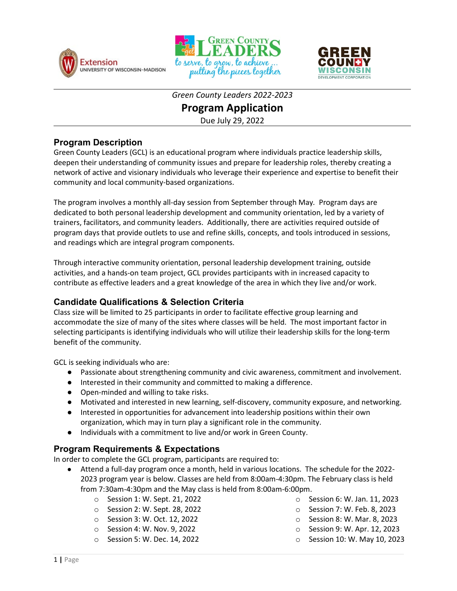





*Green County Leaders 2022-2023*

## **Program Application**

Due July 29, 2022

#### **Program Description**

Green County Leaders (GCL) is an educational program where individuals practice leadership skills, deepen their understanding of community issues and prepare for leadership roles, thereby creating a network of active and visionary individuals who leverage their experience and expertise to benefit their community and local community-based organizations.

The program involves a monthly all-day session from September through May*.* Program days are dedicated to both personal leadership development and community orientation, led by a variety of trainers, facilitators, and community leaders. Additionally, there are activities required outside of program days that provide outlets to use and refine skills, concepts, and tools introduced in sessions, and readings which are integral program components.

Through interactive community orientation, personal leadership development training, outside activities, and a hands-on team project, GCL provides participants with in increased capacity to contribute as effective leaders and a great knowledge of the area in which they live and/or work.

### **Candidate Qualifications & Selection Criteria**

Class size will be limited to 25 participants in order to facilitate effective group learning and accommodate the size of many of the sites where classes will be held. The most important factor in selecting participants is identifying individuals who will utilize their leadership skills for the long-term benefit of the community.

GCL is seeking individuals who are:

- Passionate about strengthening community and civic awareness, commitment and involvement.
- Interested in their community and committed to making a difference.
- Open-minded and willing to take risks.
- Motivated and interested in new learning, self-discovery, community exposure, and networking.
- Interested in opportunities for advancement into leadership positions within their own organization, which may in turn play a significant role in the community.
- Individuals with a commitment to live and/or work in Green County.

### **Program Requirements & Expectations**

In order to complete the GCL program, participants are required to:

- Attend a full-day program once a month, held in various locations. The schedule for the 2022- 2023 program year is below. Classes are held from 8:00am-4:30pm. The February class is held from 7:30am-4:30pm and the May class is held from 8:00am-6:00pm.
	- o Session 1: W. Sept. 21, 2022
	- o Session 2: W. Sept. 28, 2022
	- o Session 3: W. Oct. 12, 2022
	- o Session 4: W. Nov. 9, 2022
	- o Session 5: W. Dec. 14, 2022
- o Session 6: W. Jan. 11, 2023
- o Session 7: W. Feb. 8, 2023
- o Session 8: W. Mar. 8, 2023
- o Session 9: W. Apr. 12, 2023
- o Session 10: W. May 10, 2023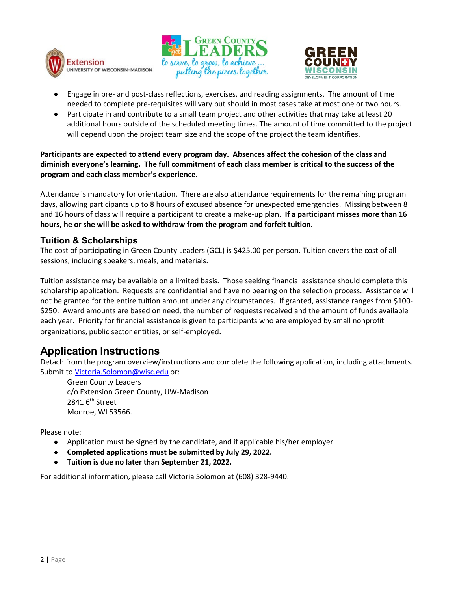





- Engage in pre- and post-class reflections, exercises, and reading assignments. The amount of time needed to complete pre-requisites will vary but should in most cases take at most one or two hours.
- Participate in and contribute to a small team project and other activities that may take at least 20 additional hours outside of the scheduled meeting times. The amount of time committed to the project will depend upon the project team size and the scope of the project the team identifies.

**Participants are expected to attend every program day. Absences affect the cohesion of the class and diminish everyone's learning. The full commitment of each class member is critical to the success of the program and each class member's experience.** 

Attendance is mandatory for orientation. There are also attendance requirements for the remaining program days, allowing participants up to 8 hours of excused absence for unexpected emergencies. Missing between 8 and 16 hours of class will require a participant to create a make-up plan. **If a participant misses more than 16 hours, he or she will be asked to withdraw from the program and forfeit tuition.** 

#### **Tuition & Scholarships**

The cost of participating in Green County Leaders (GCL) is \$425.00 per person. Tuition covers the cost of all sessions, including speakers, meals, and materials.

Tuition assistance may be available on a limited basis. Those seeking financial assistance should complete this scholarship application. Requests are confidential and have no bearing on the selection process. Assistance will not be granted for the entire tuition amount under any circumstances. If granted, assistance ranges from \$100- \$250. Award amounts are based on need, the number of requests received and the amount of funds available each year. Priority for financial assistance is given to participants who are employed by small nonprofit organizations, public sector entities, or self-employed.

# **Application Instructions**

Detach from the program overview/instructions and complete the following application, including attachments. Submit to [Victoria.Solomon@wisc.edu](mailto:Victoria.Solomon@wisc.edu) or:

Green County Leaders c/o Extension Green County, UW-Madison 2841 6<sup>th</sup> Street Monroe, WI 53566.

Please note:

- Application must be signed by the candidate, and if applicable his/her employer.
- **Completed applications must be submitted by July 29, 2022.**
- **Tuition is due no later than September 21, 2022.**

For additional information, please call Victoria Solomon at (608) 328-9440.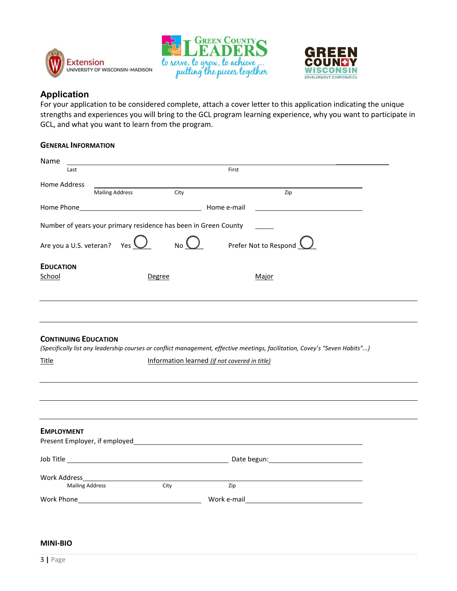





### **Application**

For your application to be considered complete, attach a cover letter to this application indicating the unique strengths and experiences you will bring to the GCL program learning experience, why you want to participate in GCL, and what you want to learn from the program.

#### **GENERAL INFORMATION**

| First<br>Last<br>Home Address<br><b>Mailing Address</b><br>City<br>Zip<br>Number of years your primary residence has been in Green County<br>No $\bigcup$<br>Prefer Not to Respond<br>Are you a U.S. veteran?<br>Yes<br><b>EDUCATION</b><br>School<br>Major<br>Degree<br><b>CONTINUING EDUCATION</b><br>(Specifically list any leadership courses or conflict management, effective meetings, facilitation, Covey's "Seven Habits")<br>Information learned (if not covered in title)<br><b>EMPLOYMENT</b><br>Work Address and the control of the control of the control of the control of the control of the control of the<br>Zip<br><b>Mailing Address</b><br>City<br>Work Phone <b>Washington</b><br>Work e-mail | Name         |  |
|---------------------------------------------------------------------------------------------------------------------------------------------------------------------------------------------------------------------------------------------------------------------------------------------------------------------------------------------------------------------------------------------------------------------------------------------------------------------------------------------------------------------------------------------------------------------------------------------------------------------------------------------------------------------------------------------------------------------|--------------|--|
|                                                                                                                                                                                                                                                                                                                                                                                                                                                                                                                                                                                                                                                                                                                     |              |  |
|                                                                                                                                                                                                                                                                                                                                                                                                                                                                                                                                                                                                                                                                                                                     |              |  |
|                                                                                                                                                                                                                                                                                                                                                                                                                                                                                                                                                                                                                                                                                                                     |              |  |
|                                                                                                                                                                                                                                                                                                                                                                                                                                                                                                                                                                                                                                                                                                                     |              |  |
|                                                                                                                                                                                                                                                                                                                                                                                                                                                                                                                                                                                                                                                                                                                     |              |  |
|                                                                                                                                                                                                                                                                                                                                                                                                                                                                                                                                                                                                                                                                                                                     |              |  |
|                                                                                                                                                                                                                                                                                                                                                                                                                                                                                                                                                                                                                                                                                                                     |              |  |
|                                                                                                                                                                                                                                                                                                                                                                                                                                                                                                                                                                                                                                                                                                                     |              |  |
|                                                                                                                                                                                                                                                                                                                                                                                                                                                                                                                                                                                                                                                                                                                     |              |  |
|                                                                                                                                                                                                                                                                                                                                                                                                                                                                                                                                                                                                                                                                                                                     | <b>Title</b> |  |
|                                                                                                                                                                                                                                                                                                                                                                                                                                                                                                                                                                                                                                                                                                                     |              |  |
|                                                                                                                                                                                                                                                                                                                                                                                                                                                                                                                                                                                                                                                                                                                     |              |  |
|                                                                                                                                                                                                                                                                                                                                                                                                                                                                                                                                                                                                                                                                                                                     |              |  |
|                                                                                                                                                                                                                                                                                                                                                                                                                                                                                                                                                                                                                                                                                                                     |              |  |
|                                                                                                                                                                                                                                                                                                                                                                                                                                                                                                                                                                                                                                                                                                                     |              |  |
|                                                                                                                                                                                                                                                                                                                                                                                                                                                                                                                                                                                                                                                                                                                     |              |  |

#### **MINI-BIO**